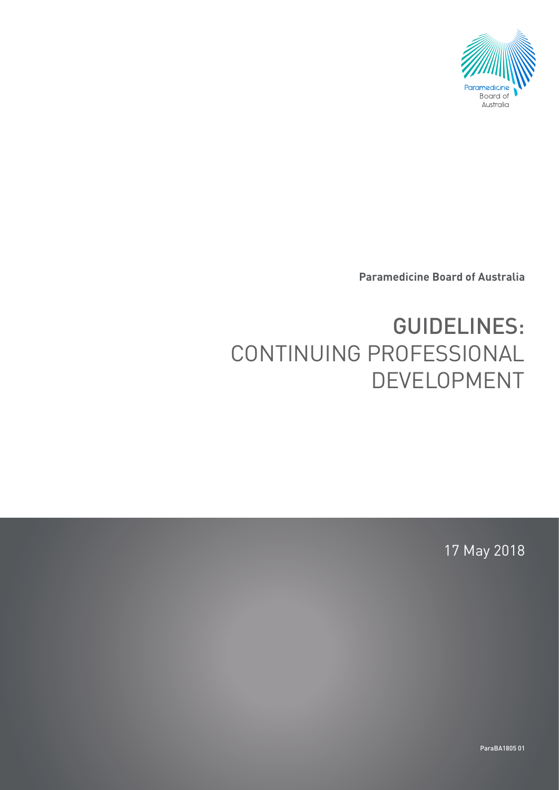

**Paramedicine Board of Australia**

# GUIDELINES: CONTINUING PROFESSIONAL DEVELOPMENT

17 May 2018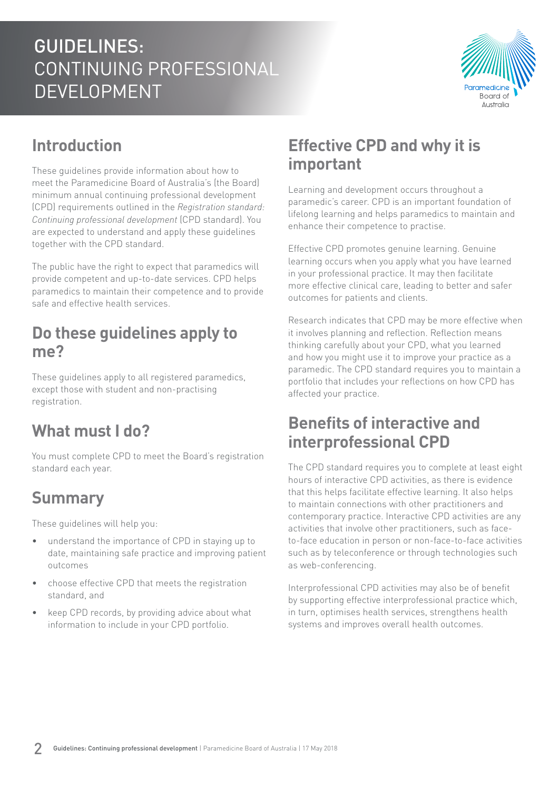

### **Introduction**

These guidelines provide information about how to meet the Paramedicine Board of Australia's (the Board) minimum annual continuing professional development (CPD) requirements outlined in the *Registration standard: Continuing professional development* (CPD standard). You are expected to understand and apply these guidelines together with the CPD standard.

The public have the right to expect that paramedics will provide competent and up-to-date services. CPD helps paramedics to maintain their competence and to provide safe and effective health services.

#### **Do these guidelines apply to me?**

These guidelines apply to all registered paramedics, except those with student and non-practising registration.

#### **What must I do?**

You must complete CPD to meet the Board's registration standard each year.

#### **Summary**

These guidelines will help you:

- understand the importance of CPD in staying up to date, maintaining safe practice and improving patient outcomes
- choose effective CPD that meets the registration standard, and
- keep CPD records, by providing advice about what information to include in your CPD portfolio.

#### **Effective CPD and why it is important**

Learning and development occurs throughout a paramedic's career. CPD is an important foundation of lifelong learning and helps paramedics to maintain and enhance their competence to practise.

Effective CPD promotes genuine learning. Genuine learning occurs when you apply what you have learned in your professional practice. It may then facilitate more effective clinical care, leading to better and safer outcomes for patients and clients.

Research indicates that CPD may be more effective when it involves planning and reflection. Reflection means thinking carefully about your CPD, what you learned and how you might use it to improve your practice as a paramedic. The CPD standard requires you to maintain a portfolio that includes your reflections on how CPD has affected your practice.

#### **Benefits of interactive and interprofessional CPD**

The CPD standard requires you to complete at least eight hours of interactive CPD activities, as there is evidence that this helps facilitate effective learning. It also helps to maintain connections with other practitioners and contemporary practice. Interactive CPD activities are any activities that involve other practitioners, such as faceto-face education in person or non-face-to-face activities such as by teleconference or through technologies such as web-conferencing.

Interprofessional CPD activities may also be of benefit by supporting effective interprofessional practice which, in turn, optimises health services, strengthens health systems and improves overall health outcomes.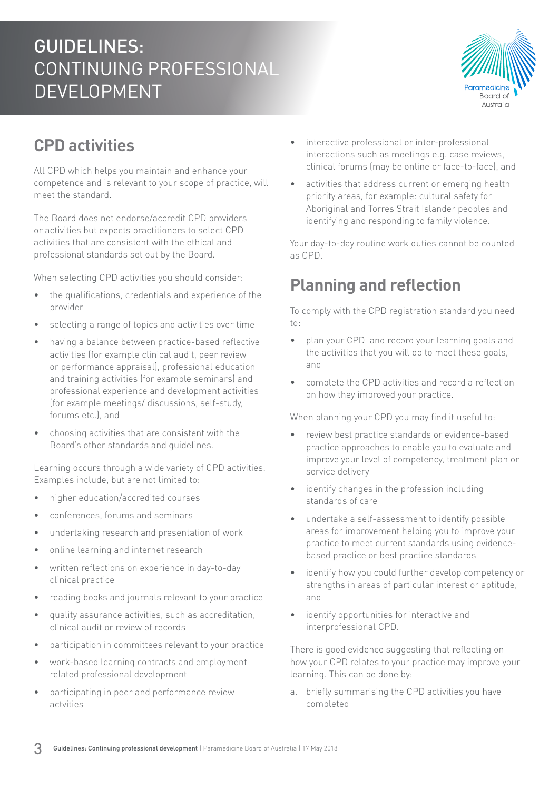

### **CPD activities**

All CPD which helps you maintain and enhance your competence and is relevant to your scope of practice, will meet the standard.

The Board does not endorse/accredit CPD providers or activities but expects practitioners to select CPD activities that are consistent with the ethical and professional standards set out by the Board.

When selecting CPD activities you should consider:

- the qualifications, credentials and experience of the provider
- selecting a range of topics and activities over time
- having a balance between practice-based reflective activities (for example clinical audit, peer review or performance appraisal), professional education and training activities (for example seminars) and professional experience and development activities (for example meetings/ discussions, self-study, forums etc.), and
- choosing activities that are consistent with the Board's other standards and guidelines.

Learning occurs through a wide variety of CPD activities. Examples include, but are not limited to:

- higher education/accredited courses
- conferences, forums and seminars
- undertaking research and presentation of work
- online learning and internet research
- written reflections on experience in day-to-day clinical practice
- reading books and journals relevant to your practice
- quality assurance activities, such as accreditation, clinical audit or review of records
- participation in committees relevant to your practice
- work-based learning contracts and employment related professional development
- participating in peer and performance review actvities
- interactive professional or inter-professional interactions such as meetings e.g. case reviews, clinical forums (may be online or face-to-face), and
- activities that address current or emerging health priority areas, for example: cultural safety for Aboriginal and Torres Strait Islander peoples and identifying and responding to family violence.

Your day-to-day routine work duties cannot be counted as CPD.

#### **Planning and reflection**

To comply with the CPD registration standard you need to:

- plan your CPD and record your learning goals and the activities that you will do to meet these goals, and
- complete the CPD activities and record a reflection on how they improved your practice.

When planning your CPD you may find it useful to:

- review best practice standards or evidence-based practice approaches to enable you to evaluate and improve your level of competency, treatment plan or service delivery
- identify changes in the profession including standards of care
- undertake a self-assessment to identify possible areas for improvement helping you to improve your practice to meet current standards using evidencebased practice or best practice standards
- identify how you could further develop competency or strengths in areas of particular interest or aptitude, and
- identify opportunities for interactive and interprofessional CPD.

There is good evidence suggesting that reflecting on how your CPD relates to your practice may improve your learning. This can be done by:

a. briefly summarising the CPD activities you have completed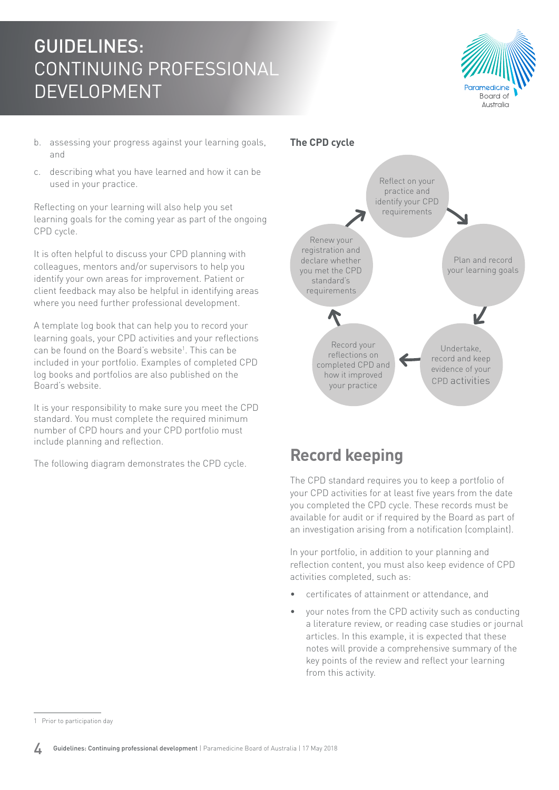

- b. assessing your progress against your learning goals, and
- c. describing what you have learned and how it can be used in your practice.

Reflecting on your learning will also help you set learning goals for the coming year as part of the ongoing CPD cycle.

It is often helpful to discuss your CPD planning with colleagues, mentors and/or supervisors to help you identify your own areas for improvement. Patient or client feedback may also be helpful in identifying areas where you need further professional development.

A template log book that can help you to record your learning goals, your CPD activities and your reflections can be found on the Board's website<sup>1</sup>. This can be included in your portfolio. Examples of completed CPD log books and portfolios are also published on the Board's website.

It is your responsibility to make sure you meet the CPD standard. You must complete the required minimum number of CPD hours and your CPD portfolio must include planning and reflection.

The following diagram demonstrates the CPD cycle.



#### **Record keeping**

The CPD standard requires you to keep a portfolio of your CPD activities for at least five years from the date you completed the CPD cycle. These records must be available for audit or if required by the Board as part of an investigation arising from a notification (complaint).

In your portfolio, in addition to your planning and reflection content, you must also keep evidence of CPD activities completed, such as:

- certificates of attainment or attendance, and
- your notes from the CPD activity such as conducting a literature review, or reading case studies or journal articles. In this example, it is expected that these notes will provide a comprehensive summary of the key points of the review and reflect your learning from this activity.

<sup>1</sup> Prior to participation day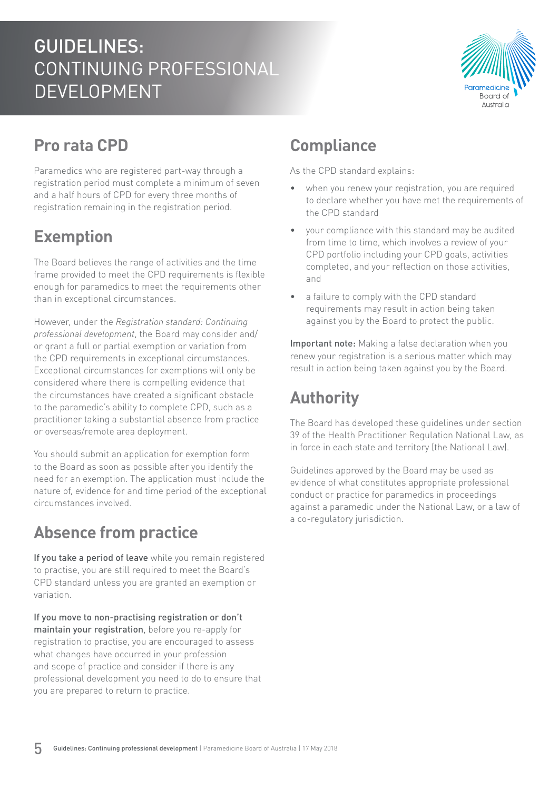

### **Pro rata CPD**

Paramedics who are registered part-way through a registration period must complete a minimum of seven and a half hours of CPD for every three months of registration remaining in the registration period.

### **Exemption**

The Board believes the range of activities and the time frame provided to meet the CPD requirements is flexible enough for paramedics to meet the requirements other than in exceptional circumstances.

However, under the *Registration standard: Continuing professional development*, the Board may consider and/ or grant a full or partial exemption or variation from the CPD requirements in exceptional circumstances. Exceptional circumstances for exemptions will only be considered where there is compelling evidence that the circumstances have created a significant obstacle to the paramedic's ability to complete CPD, such as a practitioner taking a substantial absence from practice or overseas/remote area deployment.

You should submit an application for exemption form to the Board as soon as possible after you identify the need for an exemption. The application must include the nature of, evidence for and time period of the exceptional circumstances involved.

### **Absence from practice**

If you take a period of leave while you remain registered to practise, you are still required to meet the Board's CPD standard unless you are granted an exemption or variation.

If you move to non-practising registration or don't maintain your registration, before you re-apply for registration to practise, you are encouraged to assess what changes have occurred in your profession and scope of practice and consider if there is any professional development you need to do to ensure that you are prepared to return to practice.

### **Compliance**

As the CPD standard explains:

- when you renew your registration, you are required to declare whether you have met the requirements of the CPD standard
- your compliance with this standard may be audited from time to time, which involves a review of your CPD portfolio including your CPD goals, activities completed, and your reflection on those activities, and
- a failure to comply with the CPD standard requirements may result in action being taken against you by the Board to protect the public.

Important note: Making a false declaration when you renew your registration is a serious matter which may result in action being taken against you by the Board.

# **Authority**

The Board has developed these guidelines under section 39 of the Health Practitioner Regulation National Law, as in force in each state and territory (the National Law).

Guidelines approved by the Board may be used as evidence of what constitutes appropriate professional conduct or practice for paramedics in proceedings against a paramedic under the National Law, or a law of a co-regulatory jurisdiction.